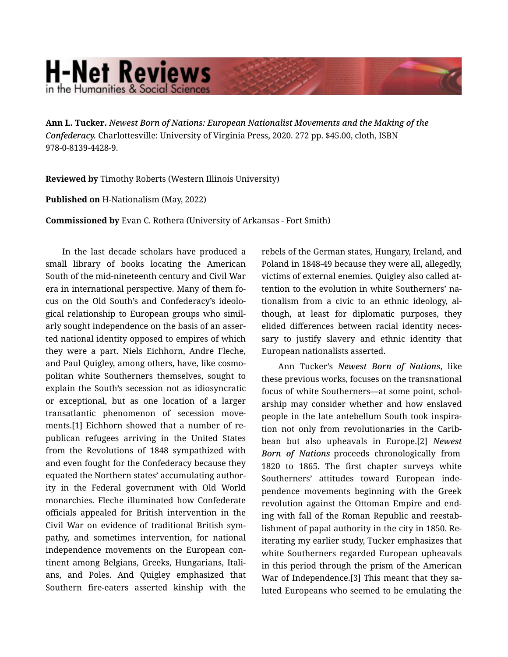## **H-Net Reviews** in the Humanities & Social Scienc

**Ann L. Tucker.** *Newest Born of Nations: European Nationalist Movements and the Making of the Confederacy.* Charlottesville: University of Virginia Press, 2020. 272 pp. \$45.00, cloth, ISBN 978-0-8139-4428-9.

**Reviewed by** Timothy Roberts (Western Illinois University)

**Published on** H-Nationalism (May, 2022)

**Commissioned by** Evan C. Rothera (University of Arkansas - Fort Smith)

In the last decade scholars have produced a small library of books locating the American South of the mid-nineteenth century and Civil War era in international perspective. Many of them fo‐ cus on the Old South's and Confederacy's ideolo‐ gical relationship to European groups who simil‐ arly sought independence on the basis of an asser‐ ted national identity opposed to empires of which they were a part. Niels Eichhorn, Andre Fleche, and Paul Quigley, among others, have, like cosmo‐ politan white Southerners themselves, sought to explain the South's secession not as idiosyncratic or exceptional, but as one location of a larger transatlantic phenomenon of secession move‐ ments.[1] Eichhorn showed that a number of re‐ publican refugees arriving in the United States from the Revolutions of 1848 sympathized with and even fought for the Confederacy because they equated the Northern states' accumulating author‐ ity in the Federal government with Old World monarchies. Fleche illuminated how Confederate officials appealed for British intervention in the Civil War on evidence of traditional British sym‐ pathy, and sometimes intervention, for national independence movements on the European con‐ tinent among Belgians, Greeks, Hungarians, Itali‐ ans, and Poles. And Quigley emphasized that Southern fire-eaters asserted kinship with the

rebels of the German states, Hungary, Ireland, and Poland in 1848-49 because they were all, allegedly, victims of external enemies. Quigley also called at‐ tention to the evolution in white Southerners' na‐ tionalism from a civic to an ethnic ideology, al‐ though, at least for diplomatic purposes, they elided differences between racial identity neces‐ sary to justify slavery and ethnic identity that European nationalists asserted.

Ann Tucker's *Newest Born of Nations*, like these previous works, focuses on the transnational focus of white Southerners—at some point, schol‐ arship may consider whether and how enslaved people in the late antebellum South took inspira‐ tion not only from revolutionaries in the Carib‐ bean but also upheavals in Europe.[2] *Newest Born of Nations* proceeds chronologically from 1820 to 1865. The first chapter surveys white Southerners' attitudes toward European inde‐ pendence movements beginning with the Greek revolution against the Ottoman Empire and end‐ ing with fall of the Roman Republic and reestab‐ lishment of papal authority in the city in 1850. Re‐ iterating my earlier study, Tucker emphasizes that white Southerners regarded European upheavals in this period through the prism of the American War of Independence.[3] This meant that they saluted Europeans who seemed to be emulating the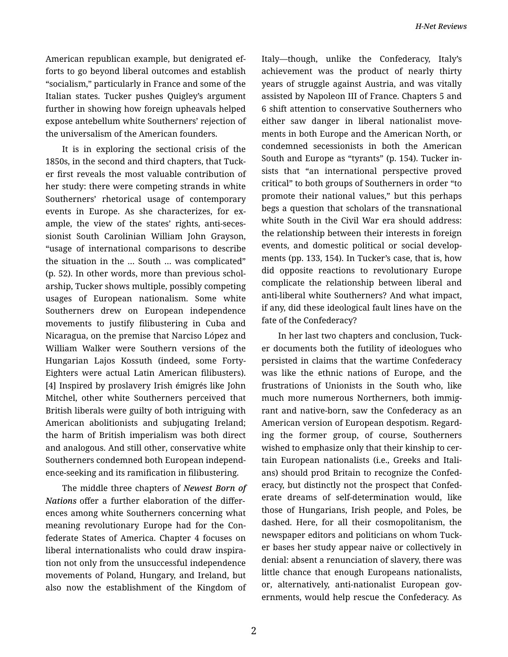American republican example, but denigrated ef‐ forts to go beyond liberal outcomes and establish "socialism," particularly in France and some of the Italian states. Tucker pushes Quigley's argument further in showing how foreign upheavals helped expose antebellum white Southerners' rejection of the universalism of the American founders.

It is in exploring the sectional crisis of the 1850s, in the second and third chapters, that Tuck‐ er first reveals the most valuable contribution of her study: there were competing strands in white Southerners' rhetorical usage of contemporary events in Europe. As she characterizes, for ex‐ ample, the view of the states' rights, anti-seces‐ sionist South Carolinian William John Grayson, "usage of international comparisons to describe the situation in the … South … was complicated" (p. 52). In other words, more than previous schol‐ arship, Tucker shows multiple, possibly competing usages of European nationalism. Some white Southerners drew on European independence movements to justify filibustering in Cuba and Nicaragua, on the premise that Narciso López and William Walker were Southern versions of the Hungarian Lajos Kossuth (indeed, some Forty-Eighters were actual Latin American filibusters). [4] Inspired by proslavery Irish émigrés like John Mitchel, other white Southerners perceived that British liberals were guilty of both intriguing with American abolitionists and subjugating Ireland; the harm of British imperialism was both direct and analogous. And still other, conservative white Southerners condemned both European independ‐ ence-seeking and its ramification in filibustering.

The middle three chapters of *Newest Born of Nations* offer a further elaboration of the differ‐ ences among white Southerners concerning what meaning revolutionary Europe had for the Con‐ federate States of America. Chapter 4 focuses on liberal internationalists who could draw inspira‐ tion not only from the unsuccessful independence movements of Poland, Hungary, and Ireland, but also now the establishment of the Kingdom of

Italy—though, unlike the Confederacy, Italy's achievement was the product of nearly thirty years of struggle against Austria, and was vitally assisted by Napoleon III of France. Chapters 5 and 6 shift attention to conservative Southerners who either saw danger in liberal nationalist move‐ ments in both Europe and the American North, or condemned secessionists in both the American South and Europe as "tyrants" (p. 154). Tucker in‐ sists that "an international perspective proved critical" to both groups of Southerners in order "to promote their national values," but this perhaps begs a question that scholars of the transnational white South in the Civil War era should address: the relationship between their interests in foreign events, and domestic political or social develop‐ ments (pp. 133, 154). In Tucker's case, that is, how did opposite reactions to revolutionary Europe complicate the relationship between liberal and anti-liberal white Southerners? And what impact, if any, did these ideological fault lines have on the fate of the Confederacy?

In her last two chapters and conclusion, Tuck‐ er documents both the futility of ideologues who persisted in claims that the wartime Confederacy was like the ethnic nations of Europe, and the frustrations of Unionists in the South who, like much more numerous Northerners, both immigrant and native-born, saw the Confederacy as an American version of European despotism. Regard‐ ing the former group, of course, Southerners wished to emphasize only that their kinship to certain European nationalists (i.e., Greeks and Itali‐ ans) should prod Britain to recognize the Confed‐ eracy, but distinctly not the prospect that Confed‐ erate dreams of self-determination would, like those of Hungarians, Irish people, and Poles, be dashed. Here, for all their cosmopolitanism, the newspaper editors and politicians on whom Tuck‐ er bases her study appear naive or collectively in denial: absent a renunciation of slavery, there was little chance that enough Europeans nationalists, or, alternatively, anti-nationalist European governments, would help rescue the Confederacy. As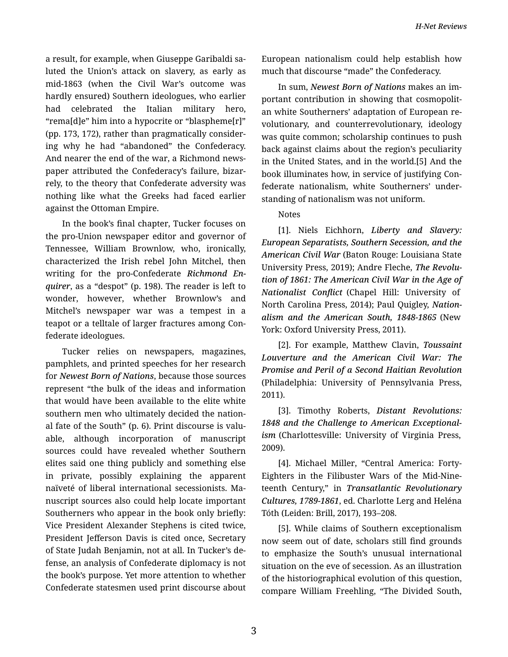a result, for example, when Giuseppe Garibaldi sa‐ luted the Union's attack on slavery, as early as mid-1863 (when the Civil War's outcome was hardly ensured) Southern ideologues, who earlier had celebrated the Italian military hero, "rema[d]e" him into a hypocrite or "blaspheme[r]" (pp. 173, 172), rather than pragmatically consider‐ ing why he had "abandoned" the Confederacy. And nearer the end of the war, a Richmond news‐ paper attributed the Confederacy's failure, bizar‐ rely, to the theory that Confederate adversity was nothing like what the Greeks had faced earlier against the Ottoman Empire.

In the book's final chapter, Tucker focuses on the pro-Union newspaper editor and governor of Tennessee, William Brownlow, who, ironically, characterized the Irish rebel John Mitchel, then writing for the pro-Confederate *Richmond En‐ quirer*, as a "despot" (p. 198). The reader is left to wonder, however, whether Brownlow's and Mitchel's newspaper war was a tempest in a teapot or a telltale of larger fractures among Con‐ federate ideologues.

Tucker relies on newspapers, magazines, pamphlets, and printed speeches for her research for *Newest Born of Nations*, because those sources represent "the bulk of the ideas and information that would have been available to the elite white southern men who ultimately decided the nation‐ al fate of the South" (p. 6). Print discourse is valu‐ able, although incorporation of manuscript sources could have revealed whether Southern elites said one thing publicly and something else in private, possibly explaining the apparent naïveté of liberal international secessionists. Ma‐ nuscript sources also could help locate important Southerners who appear in the book only briefly: Vice President Alexander Stephens is cited twice, President Jefferson Davis is cited once, Secretary of State Judah Benjamin, not at all. In Tucker's de‐ fense, an analysis of Confederate diplomacy is not the book's purpose. Yet more attention to whether Confederate statesmen used print discourse about

European nationalism could help establish how much that discourse "made" the Confederacy.

In sum, *Newest Born of Nations* makes an im‐ portant contribution in showing that cosmopolit‐ an white Southerners' adaptation of European re‐ volutionary, and counterrevolutionary, ideology was quite common; scholarship continues to push back against claims about the region's peculiarity in the United States, and in the world.[5] And the book illuminates how, in service of justifying Con‐ federate nationalism, white Southerners' under‐ standing of nationalism was not uniform.

## Notes

[1]. Niels Eichhorn, *Liberty and Slavery: European Separatists, Southern Secession, and the American Civil War* (Baton Rouge: Louisiana State University Press, 2019); Andre Fleche, *The Revolu‐ tion of 1861: The American Civil War in the Age of Nationalist Conflict* (Chapel Hill: University of North Carolina Press, 2014); Paul Quigley, *Nation‐ alism and the American South, 1848-1865* (New York: Oxford University Press, 2011).

[2]. For example, Matthew Clavin, *Toussaint Louverture and the American Civil War: The Promise and Peril of a Second Haitian Revolution* (Philadelphia: University of Pennsylvania Press, 2011).

[3]. Timothy Roberts, *Distant Revolutions: 1848 and the Challenge to American Exceptional‐ ism* (Charlottesville: University of Virginia Press, 2009).

[4]. Michael Miller, "Central America: Forty-Eighters in the Filibuster Wars of the Mid-Nine‐ teenth Century," in *Transatlantic Revolutionary Cultures, 1789-1861*, ed. Charlotte Lerg and Heléna Tóth (Leiden: Brill, 2017), 193–208.

[5]. While claims of Southern exceptionalism now seem out of date, scholars still find grounds to emphasize the South's unusual international situation on the eve of secession. As an illustration of the historiographical evolution of this question, compare William Freehling, "The Divided South,